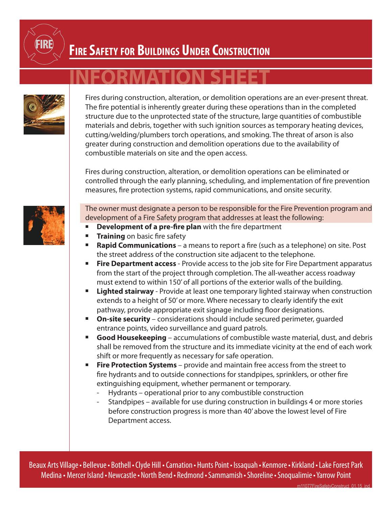

## **Fire Safety for Buildings Under Construction**

## **INFORMATION SHEET**



Fires during construction, alteration, or demolition operations are an ever-present threat. The fire potential is inherently greater during these operations than in the completed structure due to the unprotected state of the structure, large quantities of combustible materials and debris, together with such ignition sources as temporary heating devices, cutting/welding/plumbers torch operations, and smoking. The threat of arson is also greater during construction and demolition operations due to the availability of combustible materials on site and the open access.

Fires during construction, alteration, or demolition operations can be eliminated or controlled through the early planning, scheduling, and implementation of fire prevention measures, fire protection systems, rapid communications, and onsite security.



The owner must designate a person to be responsible for the Fire Prevention program and development of a Fire Safety program that addresses at least the following:

- **Development of a pre-fire plan** with the fire department
- **Training** on basic fire safety
- **Rapid Communications** a means to report a fire (such as a telephone) on site. Post the street address of the construction site adjacent to the telephone.
- **Fire Department access** Provide access to the job site for Fire Department apparatus from the start of the project through completion. The all-weather access roadway must extend to within 150' of all portions of the exterior walls of the building.
- **E** Lighted stairway Provide at least one temporary lighted stairway when construction extends to a height of 50' or more. Where necessary to clearly identify the exit pathway, provide appropriate exit signage including floor designations.
- **On-site security** considerations should include secured perimeter, quarded entrance points, video surveillance and guard patrols.
- **Good Housekeeping** accumulations of combustible waste material, dust, and debris shall be removed from the structure and its immediate vicinity at the end of each work shift or more frequently as necessary for safe operation.
- **Fire Protection Systems** provide and maintain free access from the street to fire hydrants and to outside connections for standpipes, sprinklers, or other fire extinguishing equipment, whether permanent or temporary.
	- Hydrants operational prior to any combustible construction
	- Standpipes available for use during construction in buildings 4 or more stories before construction progress is more than 40' above the lowest level of Fire Department access.

Beaux Arts Village • Bellevue • Bothell • Clyde Hill • Carnation • Hunts Point • Issaquah • Kenmore • Kirkland • Lake Forest Park Medina • Mercer Island• Newcastle• North Bend• Redmond•Sammamish •Shoreline•Snoqualimie•Yarrow Point